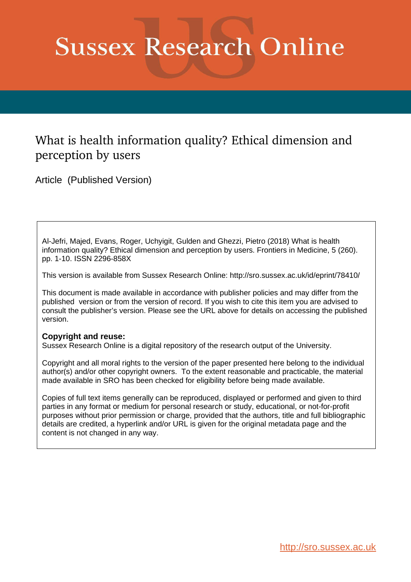# **Sussex Research Online**

# What is health information quality? Ethical dimension and perception by users

Article (Published Version)

Al-Jefri, Majed, Evans, Roger, Uchyigit, Gulden and Ghezzi, Pietro (2018) What is health information quality? Ethical dimension and perception by users. Frontiers in Medicine, 5 (260). pp. 1-10. ISSN 2296-858X

This version is available from Sussex Research Online: http://sro.sussex.ac.uk/id/eprint/78410/

This document is made available in accordance with publisher policies and may differ from the published version or from the version of record. If you wish to cite this item you are advised to consult the publisher's version. Please see the URL above for details on accessing the published version.

# **Copyright and reuse:**

Sussex Research Online is a digital repository of the research output of the University.

Copyright and all moral rights to the version of the paper presented here belong to the individual author(s) and/or other copyright owners. To the extent reasonable and practicable, the material made available in SRO has been checked for eligibility before being made available.

Copies of full text items generally can be reproduced, displayed or performed and given to third parties in any format or medium for personal research or study, educational, or not-for-profit purposes without prior permission or charge, provided that the authors, title and full bibliographic details are credited, a hyperlink and/or URL is given for the original metadata page and the content is not changed in any way.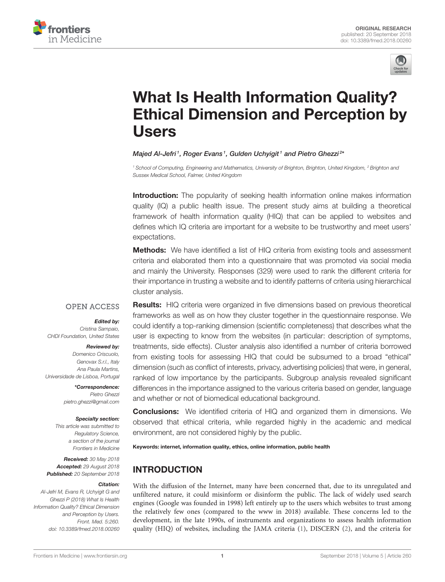



# What Is Health Information Quality? [Ethical Dimension and Perception by](https://www.frontiersin.org/articles/10.3389/fmed.2018.00260/full) Users

#### [Majed Al-Jefri](http://loop.frontiersin.org/people/508276/overview)1, [Roger Evans](http://loop.frontiersin.org/people/298363/overview)1, Gulden Uchyigit1 and [Pietro Ghezzi](http://loop.frontiersin.org/people/22645/overview)<sup>2</sup>\*

*<sup>1</sup> School of Computing, Engineering and Mathematics, University of Brighton, Brighton, United Kingdom, <sup>2</sup> Brighton and Sussex Medical School, Falmer, United Kingdom*

**Introduction:** The popularity of seeking health information online makes information quality (IQ) a public health issue. The present study aims at building a theoretical framework of health information quality (HIQ) that can be applied to websites and defines which IQ criteria are important for a website to be trustworthy and meet users' expectations.

**Methods:** We have identified a list of HIQ criteria from existing tools and assessment criteria and elaborated them into a questionnaire that was promoted via social media and mainly the University. Responses (329) were used to rank the different criteria for their importance in trusting a website and to identify patterns of criteria using hierarchical cluster analysis.

#### **OPEN ACCESS**

#### *Edited by:*

*Cristina Sampaio, CHDI Foundation, United States*

#### *Reviewed by:*

*Domenico Criscuolo, Genovax S.r.l., Italy Ana Paula Martins, Universidade de Lisboa, Portugal*

> *\*Correspondence: Pietro Ghezzi [pietro.ghezzi@gmail.com](mailto:pietro.ghezzi@gmail.com)*

#### *Specialty section:*

*This article was submitted to Regulatory Science, a section of the journal Frontiers in Medicine*

*Received: 30 May 2018 Accepted: 29 August 2018 Published: 20 September 2018*

#### *Citation:*

*Al-Jefri M, Evans R, Uchyigit G and Ghezzi P (2018) What Is Health Information Quality? Ethical Dimension and Perception by Users. Front. Med. 5:260. doi: [10.3389/fmed.2018.00260](https://doi.org/10.3389/fmed.2018.00260)*

Results: HIQ criteria were organized in five dimensions based on previous theoretical frameworks as well as on how they cluster together in the questionnaire response. We could identify a top-ranking dimension (scientific completeness) that describes what the user is expecting to know from the websites (in particular: description of symptoms, treatments, side effects). Cluster analysis also identified a number of criteria borrowed from existing tools for assessing HIQ that could be subsumed to a broad "ethical" dimension (such as conflict of interests, privacy, advertising policies) that were, in general, ranked of low importance by the participants. Subgroup analysis revealed significant differences in the importance assigned to the various criteria based on gender, language and whether or not of biomedical educational background.

Conclusions: We identified criteria of HIQ and organized them in dimensions. We observed that ethical criteria, while regarded highly in the academic and medical environment, are not considered highly by the public.

Keywords: internet, information quality, ethics, online information, public health

# INTRODUCTION

With the diffusion of the Internet, many have been concerned that, due to its unregulated and unfiltered nature, it could misinform or disinform the public. The lack of widely used search engines (Google was founded in 1998) left entirely up to the users which websites to trust among the relatively few ones (compared to the www in 2018) available. These concerns led to the development, in the late 1990s, of instruments and organizations to assess health information quality (HIQ) of websites, including the JAMA criteria [\(1\)](#page-9-0), DISCERN [\(2\)](#page-9-1), and the criteria for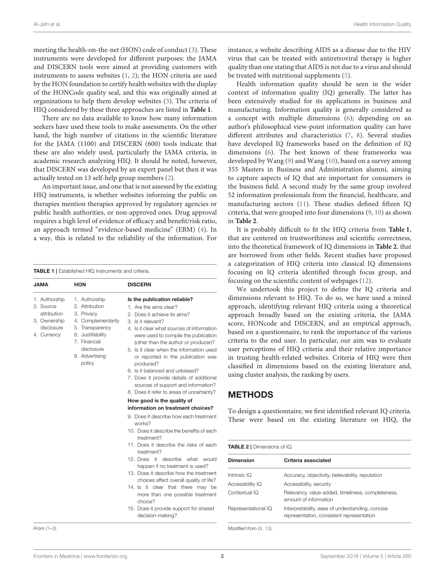Al-Jefri et al. Health Information Quality

meeting the health-on-the-net (HON) code of conduct [\(3\)](#page-9-2). These instruments were developed for different purposes: the JAMA and DISCERN tools were aimed at providing customers with instruments to assess websites [\(1,](#page-9-0) [2\)](#page-9-1); the HON criteria are used by the HON foundation to certify health websites with the display of the HONCode quality seal, and this was originally aimed at organizations to help them develop websites [\(3\)](#page-9-2). The criteria of HIQ considered by these three approaches are listed in **[Table 1](#page-2-0)**.

There are no data available to know how many information seekers have used these tools to make assessments. On the other hand, the high number of citations in the scientific literature for the JAMA (1100) and DISCERN (600) tools indicate that these are also widely used, particularly the JAMA criteria, in academic research analyzing HIQ. It should be noted, however, that DISCERN was developed by an expert panel but then it was actually tested on 13 self-help group members [\(2\)](#page-9-1).

An important issue, and one that is not assessed by the existing HIQ instruments, is whether websites informing the public on therapies mention therapies approved by regulatory agencies or public health authorities, or non-approved ones. Drug approval requires a high level of evidence of efficacy and benefit/risk ratio, an approach termed "evidence-based medicine" (EBM) [\(4\)](#page-9-3). In a way, this is related to the reliability of the information. For

<span id="page-2-0"></span>

| <b>TABLE 1</b>   Established HIQ instruments and criteria.                             |                                                                                                                                                                       |                                                                                                                                                                                                                                                                                                                                                                                                                                                                                                                                                                                                                                                                                                                                                                                                                                                                                                                                                                                                                                                                           |  |  |
|----------------------------------------------------------------------------------------|-----------------------------------------------------------------------------------------------------------------------------------------------------------------------|---------------------------------------------------------------------------------------------------------------------------------------------------------------------------------------------------------------------------------------------------------------------------------------------------------------------------------------------------------------------------------------------------------------------------------------------------------------------------------------------------------------------------------------------------------------------------------------------------------------------------------------------------------------------------------------------------------------------------------------------------------------------------------------------------------------------------------------------------------------------------------------------------------------------------------------------------------------------------------------------------------------------------------------------------------------------------|--|--|
| <b>AMAL</b>                                                                            | <b>HON</b>                                                                                                                                                            | <b>DISCERN</b>                                                                                                                                                                                                                                                                                                                                                                                                                                                                                                                                                                                                                                                                                                                                                                                                                                                                                                                                                                                                                                                            |  |  |
| 1. Authorship<br>2. Source<br>attribution<br>3. Ownership<br>disclosure<br>4. Currency | 1. Authorship<br>2. Attribution<br>3. Privacy<br>4. Complementarity<br>5. Transparency<br>6. Justifiability<br>7. Financial<br>disclosure<br>8. Advertising<br>policy | Is the publication reliable?<br>1. Are the aims clear?<br>2. Does it achieve its aims?<br>3. Is it relevant?<br>4. Is it clear what sources of information<br>were used to compile the publication<br>(other than the author or producer)?<br>5. Is it clear when the information used<br>or reported in the publication was<br>produced?<br>6. Is it balanced and unbiased?<br>7. Does it provide details of additional<br>sources of support and information?<br>8. Does it refer to areas of uncertainty?<br>How good is the quality of<br>information on treatment choices?<br>9. Does it describe how each treatment<br>works?<br>10. Does it describe the benefits of each<br>treatment?<br>11. Does it describe the risks of each<br>treatment?<br>12. Does it<br>describe what<br>would<br>happen if no treatment is used?<br>13. Does it describe how the treatment<br>choices affect overall quality of life?<br>14. Is it clear that there may be<br>more than one possible treatment<br>choice?<br>15. Does it provide support for shared<br>decision-making? |  |  |

*From [\(1](#page-9-0)[–3\)](#page-9-2).*

instance, a website describing AIDS as a disease due to the HIV virus that can be treated with antiretroviral therapy is higher quality than one stating that AIDS is not due to a virus and should be treated with nutritional supplements [\(5\)](#page-9-4).

Health information quality should be seen in the wider context of information quality (IQ) generally. The latter has been extensively studied for its applications in business and manufacturing. Information quality is generally considered as a concept with multiple dimensions [\(6\)](#page-9-5); depending on an author's philosophical view-point information quality can have different attributes and characteristics [\(7,](#page-9-6) [8\)](#page-9-7). Several studies have developed IQ frameworks based on the definition of IQ dimensions [\(6\)](#page-9-5). The best known of these frameworks was developed by Wang [\(9\)](#page-9-8) and Wang [\(10\)](#page-9-9), based on a survey among 355 Masters in Business and Administration alumni, aiming to capture aspects of IQ that are important for consumers in the business field. A second study by the same group involved 52 information professionals from the financial, healthcare, and manufacturing sectors [\(11\)](#page-9-10). These studies defined fifteen IQ criteria, that were grouped into four dimensions [\(9,](#page-9-8) [10\)](#page-9-9) as shown in **[Table 2](#page-2-1)**.

It is probably difficult to fit the HIQ criteria from **[Table 1](#page-2-0)**, that are centered on trustworthiness and scientific correctness, into the theoretical framework of IQ dimensions in **[Table 2](#page-2-1)**, that are borrowed from other fields. Recent studies have proposed a categorization of HIQ criteria into classical IQ dimensions focusing on IQ criteria identified through focus group, and focusing on the scientific content of webpages [\(12\)](#page-9-11).

We undertook this project to define the IQ criteria and dimensions relevant to HIQ. To do so, we have used a mixed approach, identifying relevant HIQ criteria using a theoretical approach broadly based on the existing criteria, the JAMA score, HONcode and DISCERN, and an empirical approach, based on a questionnaire, to rank the importance of the various criteria to the end user. In particular, our aim was to evaluate user perceptions of HIQ criteria and their relative importance in trusting health-related websites. Criteria of HIQ were then classified in dimensions based on the existing literature and, using cluster analysis, the ranking by users.

#### **METHODS**

To design a questionnaire, we first identified relevant IQ criteria. These were based on the existing literature on HIQ, the

<span id="page-2-1"></span>

| <b>Dimension</b>    | Criteria associated                                                                           |
|---------------------|-----------------------------------------------------------------------------------------------|
| Intrinsic IQ        | Accuracy, objectivity, believability, reputation                                              |
| Accessibility IQ    | Accessibility, security                                                                       |
| Contextual IQ       | Relevancy, value-added, timeliness, completeness,<br>amount of information                    |
| Representational IQ | Interpretability, ease of understanding, concise<br>representation, consistent representation |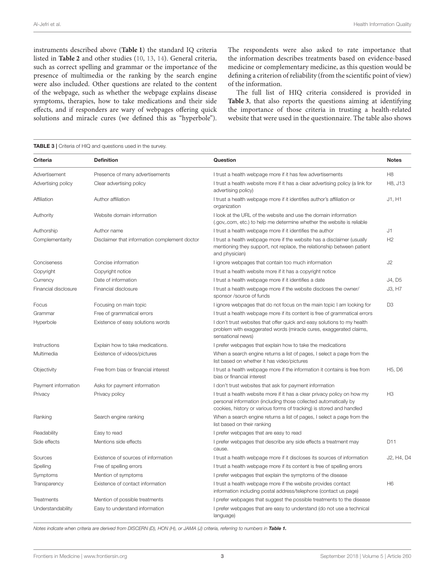instruments described above (**[Table 1](#page-2-0)**) the standard IQ criteria listed in **[Table 2](#page-2-1)** and other studies [\(10,](#page-9-9) [13,](#page-9-12) [14\)](#page-9-13). General criteria, such as correct spelling and grammar or the importance of the presence of multimedia or the ranking by the search engine were also included. Other questions are related to the content of the webpage, such as whether the webpage explains disease symptoms, therapies, how to take medications and their side effects, and if responders are wary of webpages offering quick solutions and miracle cures (we defined this as "hyperbole"). The respondents were also asked to rate importance that the information describes treatments based on evidence-based medicine or complementary medicine, as this question would be defining a criterion of reliability (from the scientific point of view) of the information.

The full list of HIQ criteria considered is provided in **[Table 3](#page-3-0)**, that also reports the questions aiming at identifying the importance of those criteria in trusting a health-related website that were used in the questionnaire. The table also shows

<span id="page-3-0"></span>

| <b>Criteria</b>      | <b>Definition</b>                             | Question                                                                                                                                                                                                             | <b>Notes</b>                    |
|----------------------|-----------------------------------------------|----------------------------------------------------------------------------------------------------------------------------------------------------------------------------------------------------------------------|---------------------------------|
| Advertisement        | Presence of many advertisements               | I trust a health webpage more if it has few advertisements                                                                                                                                                           | H <sub>8</sub>                  |
| Advertising policy   | Clear advertising policy                      | I trust a health website more if it has a clear advertising policy (a link for<br>advertising policy)                                                                                                                | H8, J13                         |
| Affiliation          | Author affiliation                            | I trust a health webpage more if it identifies author's affiliation or<br>organization                                                                                                                               | J1. H1                          |
| Authority            | Website domain information                    | I look at the URL of the website and use the domain information<br>(.gov, .com, etc.) to help me determine whether the website is reliable                                                                           |                                 |
| Authorship           | Author name                                   | I trust a health webpage more if it identifies the author                                                                                                                                                            | J1                              |
| Complementarity      | Disclaimer that information complement doctor | I trust a health webpage more if the website has a disclaimer (usually<br>mentioning they support, not replace, the relationship between patient<br>and physician)                                                   | H2                              |
| Conciseness          | Concise information                           | I ignore webpages that contain too much information                                                                                                                                                                  | J2                              |
| Copyright            | Copyright notice                              | I trust a health website more if it has a copyright notice                                                                                                                                                           |                                 |
| Currency             | Date of information                           | I trust a health webpage more if it identifies a date                                                                                                                                                                | J4, D5                          |
| Financial disclosure | Financial disclosure                          | I trust a health webpage more if the website discloses the owner/<br>sponsor /source of funds                                                                                                                        | J3, H7                          |
| Focus                | Focusing on main topic                        | I ignore webpages that do not focus on the main topic I am looking for                                                                                                                                               | D <sub>3</sub>                  |
| Grammar              | Free of grammatical errors                    | I trust a health webpage more if its content is free of grammatical errors                                                                                                                                           |                                 |
| Hyperbole            | Existence of easy solutions words             | I don't trust websites that offer quick and easy solutions to my health<br>problem with exaggerated words (miracle cures, exaggerated claims,<br>sensational news)                                                   |                                 |
| Instructions         | Explain how to take medications.              | I prefer webpages that explain how to take the medications                                                                                                                                                           |                                 |
| Multimedia           | Existence of videos/pictures                  | When a search engine returns a list of pages, I select a page from the<br>list based on whether it has video/pictures                                                                                                |                                 |
| Objectivity          | Free from bias or financial interest          | I trust a health webpage more if the information it contains is free from<br>bias or financial interest                                                                                                              | H <sub>5</sub> , D <sub>6</sub> |
| Payment information  | Asks for payment information                  | I don't trust websites that ask for payment information                                                                                                                                                              |                                 |
| Privacy              | Privacy policy                                | I trust a health website more if it has a clear privacy policy on how my<br>personal information (including those collected automatically by<br>cookies, history or various forms of tracking) is stored and handled | H <sub>3</sub>                  |
| Ranking              | Search engine ranking                         | When a search engine returns a list of pages, I select a page from the<br>list based on their ranking                                                                                                                |                                 |
| Readability          | Easy to read                                  | I prefer webpages that are easy to read                                                                                                                                                                              |                                 |
| Side effects         | Mentions side effects                         | I prefer webpages that describe any side effects a treatment may<br>cause.                                                                                                                                           | D11                             |
| Sources              | Existence of sources of information           | I trust a health webpage more if it discloses its sources of information                                                                                                                                             | J2, H4, D4                      |
| Spelling             | Free of spelling errors                       | I trust a health webpage more if its content is free of spelling errors                                                                                                                                              |                                 |
| Symptoms             | Mention of symptoms                           | I prefer webpages that explain the symptoms of the disease                                                                                                                                                           |                                 |
| Transparency         | Existence of contact information              | I trust a health webpage more if the website provides contact<br>information including postal address/telephone (contact us page)                                                                                    | H <sub>6</sub>                  |
| Treatments           | Mention of possible treatments                | I prefer webpages that suggest the possible treatments to the disease                                                                                                                                                |                                 |
| Understandability    | Easy to understand information                | I prefer webpages that are easy to understand (do not use a technical<br>language)                                                                                                                                   |                                 |

*Notes indicate when criteria are derived from DISCERN (D), HON (H), or JAMA (J) criteria, referring to numbers in [Table 1.](#page-2-0)*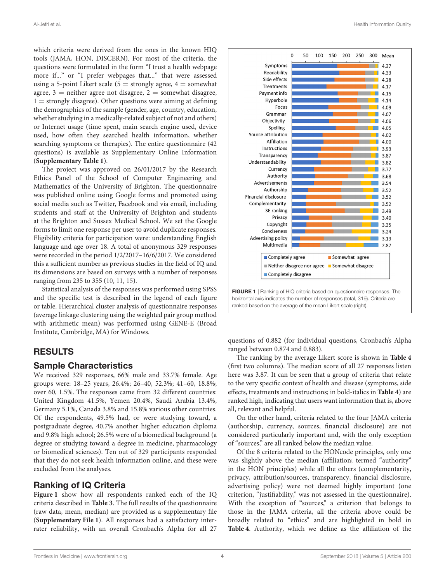which criteria were derived from the ones in the known HIQ tools (JAMA, HON, DISCERN). For most of the criteria, the questions were formulated in the form "I trust a health webpage more if..." or "I prefer webpages that..." that were assessed using a 5-point Likert scale ( $5 =$  strongly agree,  $4 =$  somewhat agree,  $3$  = neither agree not disagree,  $2$  = somewhat disagree,  $1 =$  strongly disagree). Other questions were aiming at defining the demographics of the sample (gender, age, country, education, whether studying in a medically-related subject of not and others) or Internet usage (time spent, main search engine used, device used, how often they searched health information, whether searching symptoms or therapies). The entire questionnaire (42 questions) is available as Supplementary Online Information (**[Supplementary Table 1](#page-9-14)**).

The project was approved on 26/01/2017 by the Research Ethics Panel of the School of Computer Engineering and Mathematics of the University of Brighton. The questionnaire was published online using Google forms and promoted using social media such as Twitter, Facebook and via email, including students and staff at the University of Brighton and students at the Brighton and Sussex Medical School. We set the Google forms to limit one response per user to avoid duplicate responses. Eligibility criteria for participation were: understanding English language and age over 18. A total of anonymous 329 responses were recorded in the period 1/2/2017–16/6/2017. We considered this a sufficient number as previous studies in the field of IQ and its dimensions are based on surveys with a number of responses ranging from 235 to 355 [\(10,](#page-9-9) [11,](#page-9-10) [15\)](#page-9-15).

Statistical analysis of the responses was performed using SPSS and the specific test is described in the legend of each figure or table. Hierarchical cluster analysis of questionnaire responses (average linkage clustering using the weighted pair group method with arithmetic mean) was performed using GENE-E (Broad Institute, Cambridge, MA) for Windows.

# RESULTS

#### Sample Characteristics

We received 329 responses, 66% male and 33.7% female. Age groups were: 18–25 years, 26.4%; 26–40, 52.3%; 41–60, 18.8%; over 60, 1.5%. The responses came from 32 different countries: United Kingdom 41.5%, Yemen 20.4%, Saudi Arabia 13.4%, Germany 5.1%, Canada 3.8% and 15.8% various other countries. Of the respondents, 49.5% had, or were studying toward, a postgraduate degree, 40.7% another higher education diploma and 9.8% high school; 26.5% were of a biomedical background (a degree or studying toward a degree in medicine, pharmacology or biomedical sciences). Ten out of 329 participants responded that they do not seek health information online, and these were excluded from the analyses.

# Ranking of IQ Criteria

**[Figure 1](#page-4-0)** show how all respondents ranked each of the IQ criteria described in **[Table 3](#page-3-0)**. The full results of the questionnaire (raw data, mean, median) are provided as a supplementary file (**[Supplementary File 1](#page-9-14)**). All responses had a satisfactory interrater reliability, with an overall Cronbach's Alpha for all 27



<span id="page-4-0"></span>horizontal axis indicates the number of responses (total, 319). Criteria are ranked based on the average of the mean Likert scale (right).

questions of 0.882 (for individual questions, Cronbach's Alpha ranged between 0.874 and 0.883).

The ranking by the average Likert score is shown in **[Table 4](#page-5-0)** (first two columns). The median score of all 27 responses listen here was 3.87. It can be seen that a group of criteria that relate to the very specific context of health and disease (symptoms, side effects, treatments and instructions; in bold-italics in **[Table 4](#page-5-0)**) are ranked high, indicating that users want information that is, above all, relevant and helpful.

On the other hand, criteria related to the four JAMA criteria (authorship, currency, sources, financial disclosure) are not considered particularly important and, with the only exception of "sources," are all ranked below the median value.

Of the 8 criteria related to the HONcode principles, only one was slightly above the median (affiliation; termed "authority" in the HON principles) while all the others (complementarity, privacy, attribution/sources, transparency, financial disclosure, advertising policy) were not deemed highly important (one criterion, "justifiability," was not assessed in the questionnaire). With the exception of "sources," a criterion that belongs to those in the JAMA criteria, all the criteria above could be broadly related to "ethics" and are highlighted in bold in **[Table 4](#page-5-0)**. Authority, which we define as the affiliation of the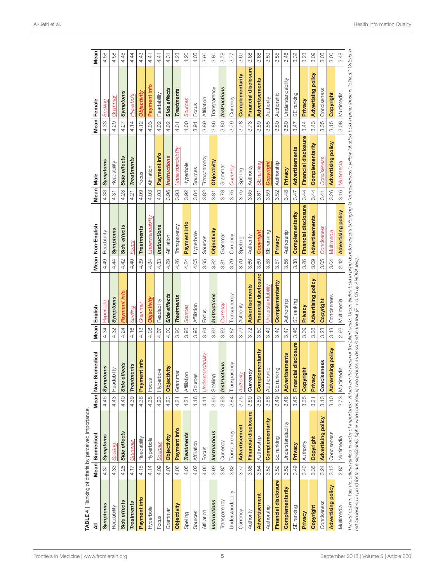| TABLE 4   Ranking of criteria by perceived importance. |         |                                                                                                                                                                                                                                                                                                                                                                            |      |                                      |      |                       |      |                           |           |                       |      |                      |      |
|--------------------------------------------------------|---------|----------------------------------------------------------------------------------------------------------------------------------------------------------------------------------------------------------------------------------------------------------------------------------------------------------------------------------------------------------------------------|------|--------------------------------------|------|-----------------------|------|---------------------------|-----------|-----------------------|------|----------------------|------|
| ₹                                                      | Mean    | Biomedical                                                                                                                                                                                                                                                                                                                                                                 | Mean | <b>I-Biomedical</b><br>$\frac{5}{2}$ |      | Mean English          |      | Mean Non-English          | Mean Male |                       |      | Mean Female          | Mean |
| Symptoms                                               | 4.37    | Symptoms                                                                                                                                                                                                                                                                                                                                                                   | 4.45 | ptoms<br>Syn                         | 4.34 | Hyperbole             | 4.49 | Readability               | 4.33      | Symptoms              | 4.33 | Spelling             | 4.58 |
| Readability                                            | 4.33    | Spelling                                                                                                                                                                                                                                                                                                                                                                   | 4.43 | Readability                          | 4.32 | <b>Symptoms</b>       | 4.44 | <b>Symptoms</b>           | 4.31      | Readability           | 4.29 | Grammar              | 4.58 |
| Side effects                                           | 4.28    | Side effects                                                                                                                                                                                                                                                                                                                                                               | 4.40 | Side effects                         | 4.24 | Payment info          | 4.42 | Side effects              | 4.28      | Side effects          | 4.27 | Symptoms             | 4.45 |
| <b>Treatments</b>                                      | 4.17    | Grammar                                                                                                                                                                                                                                                                                                                                                                    | 4.39 | <b>Treatments</b>                    | 4.16 | Spelling              | 4.40 | Focus                     | 4.21      | <b>Treatments</b>     | 4.14 | Hyperbole            | 4.44 |
| Payment info                                           | 4.15    | Readability                                                                                                                                                                                                                                                                                                                                                                | 4.36 | Payment info                         | 4.13 | Grammar               | 4.39 | <b>Treatments</b>         | 4.09      | Focus                 | 4.12 | Objectivity          | 4.43 |
| Hyperbole                                              | 4.14    | Hyperbole                                                                                                                                                                                                                                                                                                                                                                  | 4.35 | $\mathfrak{S}$<br>Focl               | 4.08 | Objectivity           | 4.34 | Understandability         | 4.03      | Affiliation           | 4.03 | Payment info         | 4.41 |
| Focus                                                  | 4.09    | Sources                                                                                                                                                                                                                                                                                                                                                                    | 4.23 | Hyperbole                            | 4.07 | Readability           | 4.33 | Instructions              | 4.03      | Payment info          | 4.02 | Readability          | 4.41 |
| Grammar                                                | 4.07    | Objectivity                                                                                                                                                                                                                                                                                                                                                                | 4.23 | ectivity<br>Ö                        | 4.00 | Side effects          | 4.29 | Affiliation               | 3.96      | <b>Instructions</b>   | 4.02 | Side effects         | 4.31 |
| Objectivity                                            | 4.06    | Payment info                                                                                                                                                                                                                                                                                                                                                               | 4.21 | mmar<br>Grar                         | 3.96 | <b>Treatments</b>     | 4.26 | Transparency              | 3.93      | Understandability     | 4.01 | <b>Treatments</b>    | 4.23 |
| Spelling                                               | 4.05    | Treatments                                                                                                                                                                                                                                                                                                                                                                 | 4.21 | iation<br>Afili                      | 3.95 | <b>Sources</b>        | 4.24 | Payment info              | 3.92      | Hyperbole             | 4.00 | <b>Sources</b>       | 4.20 |
| Sources                                                | 4.02    | Affiliation                                                                                                                                                                                                                                                                                                                                                                | 4.16 | Sources                              | 3.95 | Affiliation           | 4.05 | Hyperbole                 | 3.84      | Sources               | 3.91 | Focus                | 4.05 |
| Affiliation                                            | 4.00    | Focus                                                                                                                                                                                                                                                                                                                                                                      | 4.11 | Understandability                    | 3.94 | Focus                 | 3.95 | Sources                   | 3.82      | Transparency          | 3.89 | Affiliation          | 3.96 |
| Instructions                                           | 3.93    | Instructions                                                                                                                                                                                                                                                                                                                                                               | 3.95 | Spelling                             | 3.93 | Instructions          | 3.82 | Objectivity               | 3.81      | Objectivity           | 3.86 | Transparency         | 3.80 |
| Transparency                                           | 3.87    | Currency                                                                                                                                                                                                                                                                                                                                                                   | 3.93 | Instructions                         | 3.92 | Currency              | 3.81 | Grammar                   | 3.78      | Grammar               | 3.80 | Instructions         | 3.78 |
| Understandability                                      | 3.82    | Transparency                                                                                                                                                                                                                                                                                                                                                               | 3.84 | Transparency                         | 3.87 | Transparency          | 3.79 | Currency                  | 3.75      | Currency              | 3.79 | Currency             | 3.77 |
| Currency                                               | 3.77    | Advertisement                                                                                                                                                                                                                                                                                                                                                              | 3.75 | Auou<br>Aut                          | 3.79 | Authority             | 3.70 | Spelling                  | 3.75      | Spelling              | 3.78 | Complementarity      | 3.69 |
| Authority                                              | 3.68    | Financial disclosure                                                                                                                                                                                                                                                                                                                                                       | 3.69 | rency<br>š                           | 3.72 | <b>Advertisements</b> | 3.66 | Authority                 | 3.65      | Authority             | 3.73 | Financial disclosure | 3.68 |
| Advertisement                                          | 54<br>က | Authorship                                                                                                                                                                                                                                                                                                                                                                 | 3.59 | Complementarity                      | 3.50 | Financial disclosure  | 3.60 | Copyright                 | 3.61      | SE ranking            | 3.59 | Advertisements       | 3.68 |
| Authorship                                             | 3.52    | Complementarity                                                                                                                                                                                                                                                                                                                                                            | 3.58 | Authorship                           | 3.49 | Understandability     | 3.58 | SE ranking                | 3.59      | Copyright             | 3.55 | Authority            | 3.59 |
| Financial disclosure                                   | 3.52    | SE ranking                                                                                                                                                                                                                                                                                                                                                                 | 3.49 | SE ranking                           | 3.49 | Complementarity       | 3.57 | Privacy                   | 3.52      | Authorship            | 3.50 | Authorship           | 3.55 |
| Complementarity                                        | 3.52    | Understandability                                                                                                                                                                                                                                                                                                                                                          | 3.46 | <b>Advertisements</b>                | 3.47 | Authorship            | 3.56 | Authorship                | 3.48      | Privacy               | 3.50 | Understandability    | 3.48 |
| SE ranking                                             | 3.49    | Privacy                                                                                                                                                                                                                                                                                                                                                                    | 3.45 | Financial disclosure                 | 3.46 | SE ranking            | 3.38 | Complementarity           | 3.47      | <b>Advertisements</b> | 3.47 | SE ranking           | 3.32 |
| Privacy                                                | 3.40    | Authority                                                                                                                                                                                                                                                                                                                                                                  | 3.35 | Copyright                            | 3.39 | Privacy               | 3.26 | Financial disclosure      | 3.44      | Financial disclosure  | 3.44 | Privacy              | 3.23 |
| Copyright                                              | 3.35    | Copyright                                                                                                                                                                                                                                                                                                                                                                  | 3.21 | Privacy                              | 3.38 | Advertising policy    | 3.09 | <b>Advertisements</b>     | 3.44      | Complementarity       | 3.43 | Advertising policy   | 3.09 |
| Conciseness                                            | 3.24    | Advertising policy                                                                                                                                                                                                                                                                                                                                                         | 3.13 | <b>Iciseness</b><br>င်္              | 3.28 | Copyright             | 3.05 | Conciseness               | 3.41      | Conciseness           | 3.35 | Conciseness          | 3.05 |
| Advertising policy                                     | 3.13    | Conciseness                                                                                                                                                                                                                                                                                                                                                                | 3.10 | Advertising policy                   | 3.13 | Conciseness           | 3.04 | Multimedia                | 3.26      | Advertising policy    | 3.15 | Copyright            | 3.00 |
| Multimedia                                             | 2.87    | Multimedia                                                                                                                                                                                                                                                                                                                                                                 | 2.73 | Multimedia                           | 2.92 | Multimedia            | 2.42 | <b>Advertising policy</b> | 3.16      | Multimedia            | 3.08 | Multimedia           | 2.48 |
|                                                        |         | The first column lists the criteria ranked in order of importance. Values are then sen on the Likert ocales bold in print) denotes criteria belonging to "completeness"; yellow (shaded-bold in print) those in "ethics." Crit<br>ed (underlined in print) fonts are significantly higher when comparing two groups as described in the text (P $\lt$ 0.05 by ANOVA test). |      |                                      |      |                       |      |                           |           |                       |      |                      |      |

<span id="page-5-0"></span>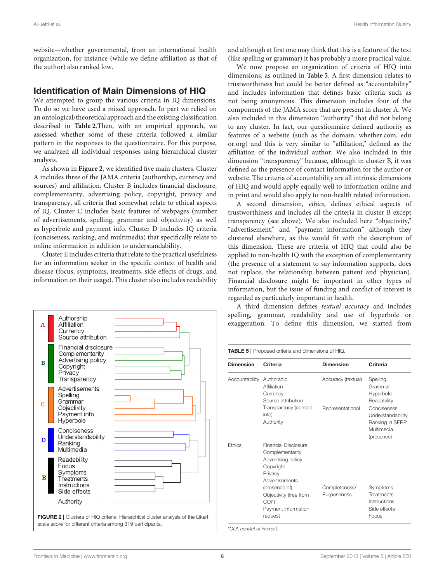website—whether governmental, from an international health organization, for instance (while we define affiliation as that of the author) also ranked low.

#### Identification of Main Dimensions of HIQ

We attempted to group the various criteria in IQ dimensions. To do so we have used a mixed approach. In part we relied on an ontological/theoretical approach and the existing classification described in **[Table 2](#page-2-1)**.Then, with an empirical approach, we assessed whether some of these criteria followed a similar pattern in the responses to the questionnaire. For this purpose, we analyzed all individual responses using hierarchical cluster analysis.

As shown in **[Figure 2](#page-6-0)**, we identified five main clusters. Cluster A includes three of the JAMA criteria (authorship, currency and sources) and affiliation. Cluster B includes financial disclosure, complementarity, advertising policy, copyright, privacy and transparency, all criteria that somewhat relate to ethical aspects of IQ. Cluster C includes basic features of webpages (number of advertisements, spelling, grammar and objectivity) as well as hyperbole and payment info. Cluster D includes IQ criteria (conciseness, ranking, and multimedia) that specifically relate to online information in addition to understandability.

Cluster E includes criteria that relate to the practical usefulness for an information seeker in the specific context of health and disease (focus, symptoms, treatments, side effects of drugs, and information on their usage). This cluster also includes readability



and although at first one may think that this is a feature of the text (like spelling or grammar) it has probably a more practical value.

We now propose an organization of criteria of HIQ into dimensions, as outlined in **[Table 5](#page-6-1)**. A first dimension relates to trustworthiness but could be better defined as "accountability" and includes information that defines basic criteria such as not being anonymous. This dimension includes four of the components of the JAMA score that are present in cluster A. We also included in this dimension "authority" that did not belong to any cluster. In fact, our questionnaire defined authority as features of a website (such as the domain, whether.com, edu or.org) and this is very similar to "affiliation," defined as the affiliation of the individual author. We also included in this dimension "transparency" because, although in cluster B, it was defined as the presence of contact information for the author or website. The criteria of accountability are all intrinsic dimensions of HIQ and would apply equally well to information online and in print and would also apply to non-health related information.

A second dimension, ethics, defines ethical aspects of trustworthiness and includes all the criteria in cluster B except transparency (see above). We also included here "objectivity," "advertisement," and "payment information" although they clustered elsewhere, as this would fit with the description of this dimension. These are criteria of HIQ that could also be applied to non-health IQ with the exception of complementarity (the presence of a statement to say information supports, does not replace, the relationship between patient and physician). Financial disclosure might be important in other types of information, but the issue of funding and conflict of interest is regarded as particularly important in health.

A third dimension defines textual accuracy and includes spelling, grammar, readability and use of hyperbole or exaggeration. To define this dimension, we started from

<span id="page-6-1"></span>TABLE 5 | Proposed criteria and dimensions of HIQ.

| <b>Dimension</b> | Criteria                                                                                                       | <b>Dimension</b>             | Criteria                                                                        |
|------------------|----------------------------------------------------------------------------------------------------------------|------------------------------|---------------------------------------------------------------------------------|
| Accountability   | Authorship<br>Affiliation<br>Currency<br>Source attribution                                                    | Accuracy (textual)           | Spelling<br>Grammar<br>Hyperbole<br>Readability                                 |
|                  | Transparency (contact<br>info)<br>Authority                                                                    | Representational             | Conciseness<br>Understandability<br>Ranking in SERP<br>Multimedia<br>(presence) |
| <b>Ethics</b>    | <b>Financial Disclosure</b><br>Complementarity<br>Advertising policy<br>Copyright<br>Privacy<br>Advertisements |                              |                                                                                 |
|                  | (presence of)<br>Objectivity (free from<br>$COI^*$<br>Payment information<br>request                           | Completeness/<br>Purposeness | Symptoms<br><b>Treatments</b><br>Instructions<br>Side effects<br>Focus          |

<span id="page-6-0"></span>\**COI, conflict of interest.*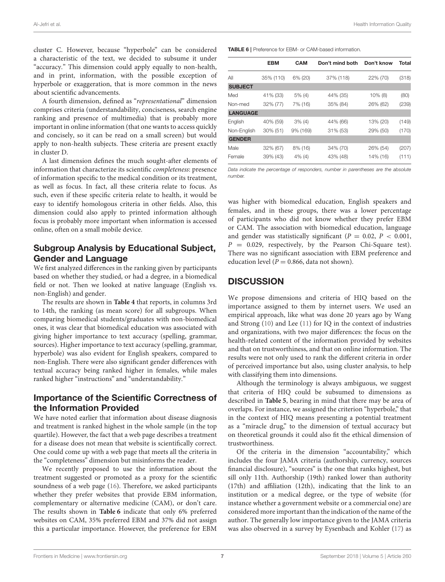cluster C. However, because "hyperbole" can be considered a characteristic of the text, we decided to subsume it under "accuracy." This dimension could apply equally to non-health, and in print, information, with the possible exception of hyperbole or exaggeration, that is more common in the news about scientific advancements.

A fourth dimension, defined as "representational" dimension comprises criteria (understandability, conciseness, search engine ranking and presence of multimedia) that is probably more important in online information (that one wants to access quickly and concisely, so it can be read on a small screen) but would apply to non-health subjects. These criteria are present exactly in cluster D.

A last dimension defines the much sought-after elements of information that characterize its scientific completeness: presence of information specific to the medical condition or its treatment, as well as focus. In fact, all these criteria relate to focus. As such, even if these specific criteria relate to health, it would be easy to identify homologous criteria in other fields. Also, this dimension could also apply to printed information although focus is probably more important when information is accessed online, often on a small mobile device.

#### Subgroup Analysis by Educational Subject, Gender and Language

We first analyzed differences in the ranking given by participants based on whether they studied, or had a degree, in a biomedical field or not. Then we looked at native language (English vs. non-English) and gender.

The results are shown in **[Table 4](#page-5-0)** that reports, in columns 3rd to 14th, the ranking (as mean score) for all subgroups. When comparing biomedical students/graduates with non-biomedical ones, it was clear that biomedical education was associated with giving higher importance to text accuracy (spelling, grammar, sources). Higher importance to text accuracy (spelling, grammar, hyperbole) was also evident for English speakers, compared to non-English. There were also significant gender differences with textual accuracy being ranked higher in females, while males ranked higher "instructions" and "understandability."

# Importance of the Scientific Correctness of the Information Provided

We have noted earlier that information about disease diagnosis and treatment is ranked highest in the whole sample (in the top quartile). However, the fact that a web page describes a treatment for a disease does not mean that website is scientifically correct. One could come up with a web page that meets all the criteria in the "completeness" dimension but misinforms the reader.

We recently proposed to use the information about the treatment suggested or promoted as a proxy for the scientific soundness of a web page [\(16\)](#page-9-16). Therefore, we asked participants whether they prefer websites that provide EBM information, complementary or alternative medicine (CAM), or don't care. The results shown in **[Table 6](#page-7-0)** indicate that only 6% preferred websites on CAM, 35% preferred EBM and 37% did not assign this a particular importance. However, the preference for EBM <span id="page-7-0"></span>TABLE 6 | Preference for EBM- or CAM-based information.

|                 | <b>EBM</b> | <b>CAM</b> | Don't mind both | Don't know | Total |
|-----------------|------------|------------|-----------------|------------|-------|
| All             | 35% (110)  | 6% (20)    | 37% (118)       | 22% (70)   | (318) |
| <b>SUBJECT</b>  |            |            |                 |            |       |
| Med             | 41% (33)   | 5% (4)     | 44% (35)        | 10% (8)    | (80)  |
| Non-med         | 32% (77)   | 7% (16)    | 35% (84)        | 26% (62)   | (239) |
| <b>LANGUAGE</b> |            |            |                 |            |       |
| English         | 40% (59)   | 3% (4)     | 44% (66)        | 13% (20)   | (149) |
| Non-English     | 30% (51)   | 9% (169)   | $31\%$ (53)     | 29% (50)   | (170) |
| <b>GENDER</b>   |            |            |                 |            |       |
| Male            | 32% (67)   | 8% (16)    | 34% (70)        | 26% (54)   | (207) |
| Female          | 39% (43)   | $4\%$ (4)  | 43% (48)        | 14% (16)   | (111) |

*Data indicate the percentage of responders, number in parentheses are the absolute number.*

was higher with biomedical education, English speakers and females, and in these groups, there was a lower percentage of participants who did not know whether they prefer EBM or CAM. The association with biomedical education, language and gender was statistically significant ( $P = 0.02$ ,  $P < 0.001$ ,  $P = 0.029$ , respectively, by the Pearson Chi-Square test). There was no significant association with EBM preference and education level ( $P = 0.866$ , data not shown).

# **DISCUSSION**

We propose dimensions and criteria of HIQ based on the importance assigned to them by internet users. We used an empirical approach, like what was done 20 years ago by Wang and Strong [\(10\)](#page-9-9) and Lee [\(11\)](#page-9-10) for IQ in the context of industries and organizations, with two major differences: the focus on the health-related content of the information provided by websites and that on trustworthiness, and that on online information. The results were not only used to rank the different criteria in order of perceived importance but also, using cluster analysis, to help with classifying them into dimensions.

Although the terminology is always ambiguous, we suggest that criteria of HIQ could be subsumed to dimensions as described in **[Table 5](#page-6-1)**, bearing in mind that there may be area of overlaps. For instance, we assigned the criterion "hyperbole," that in the context of HIQ means presenting a potential treatment as a "miracle drug," to the dimension of textual accuracy but on theoretical grounds it could also fit the ethical dimension of trustworthiness.

Of the criteria in the dimension "accountability," which includes the four JAMA criteria (authorship, currency, sources financial disclosure), "sources" is the one that ranks highest, but sill only 11th. Authorship (19th) ranked lower than authority (17th) and affiliation (12th), indicating that the link to an institution or a medical degree, or the type of website (for instance whether a government website or a commercial one) are considered more important than the indication of the name of the author. The generally low importance given to the JAMA criteria was also observed in a survey by Eysenbach and Kohler [\(17\)](#page-9-17) as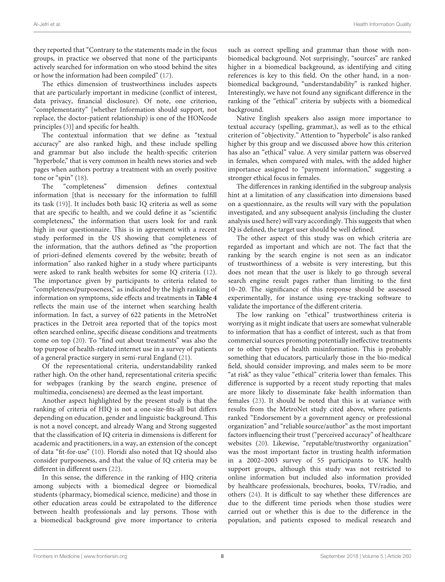they reported that "Contrary to the statements made in the focus groups, in practice we observed that none of the participants actively searched for information on who stood behind the sites or how the information had been compiled" [\(17\)](#page-9-17).

The ethics dimension of trustworthiness includes aspects that are particularly important in medicine (conflict of interest, data privacy, financial disclosure). Of note, one criterion, "complementarity" [whether Information should support, not replace, the doctor-patient relationship) is one of the HONcode principles [\(3\)](#page-9-2)] and specific for health.

The contextual information that we define as "textual accuracy" are also ranked high, and these include spelling and grammar but also include the health-specific criterion "hyperbole," that is very common in health news stories and web pages when authors portray a treatment with an overly positive tone or "spin" [\(18\)](#page-9-18).

The "completeness" dimension defines contextual information [that is necessary for the information to fulfill its task [\(19\)](#page-10-0)]. It includes both basic IQ criteria as well as some that are specific to health, and we could define it as "scientific completeness," the information that users look for and rank high in our questionnaire. This is in agreement with a recent study performed in the US showing that completeness of the information, that the authors defined as "the proportion of priori-defined elements covered by the website; breath of information" also ranked higher in a study where participants were asked to rank health websites for some IQ criteria [\(12\)](#page-9-11). The importance given by participants to criteria related to "completeness/purposeness," as indicated by the high ranking of information on symptoms, side effects and treatments in **[Table 4](#page-5-0)** reflects the main use of the internet when searching health information. In fact, a survey of 622 patients in the MetroNet practices in the Detroit area reported that of the topics most often searched online, specific disease conditions and treatments come on top [\(20\)](#page-10-1). To "find out about treatments" was also the top purpose of health-related internet use in a survey of patients of a general practice surgery in semi-rural England [\(21\)](#page-10-2).

Of the representational criteria, understandability ranked rather high. On the other hand, representational criteria specific for webpages (ranking by the search engine, presence of multimedia, conciseness) are deemed as the least important.

Another aspect highlighted by the present study is that the ranking of criteria of HIQ is not a one-size-fits-all but differs depending on education, gender and linguistic background. This is not a novel concept, and already Wang and Strong suggested that the classification of IQ criteria in dimensions is different for academic and practitioners, in a way, an extension of the concept of data "fit-for-use" [\(10\)](#page-9-9). Floridi also noted that IQ should also consider purposeness, and that the value of IQ criteria may be different in different users [\(22\)](#page-10-3).

In this sense, the difference in the ranking of HIQ criteria among subjects with a biomedical degree or biomedical students (pharmacy, biomedical science, medicine) and those in other education areas could be extrapolated to the difference between health professionals and lay persons. Those with a biomedical background give more importance to criteria such as correct spelling and grammar than those with nonbiomedical background. Not surprisingly, "sources" are ranked higher in a biomedical background, as identifying and citing references is key to this field. On the other hand, in a nonbiomedical background, "understandability" is ranked higher. Interestingly, we have not found any significant difference in the ranking of the "ethical" criteria by subjects with a biomedical background.

Native English speakers also assign more importance to textual accuracy (spelling, grammar,), as well as to the ethical criterion of "objectivity." Attention to "hyperbole" is also ranked higher by this group and we discussed above how this criterion has also an "ethical" value. A very similar pattern was observed in females, when compared with males, with the added higher importance assigned to "payment information," suggesting a stronger ethical focus in females.

The differences in ranking identified in the subgroup analysis hint at a limitation of any classification into dimensions based on a questionnaire, as the results will vary with the population investigated, and any subsequent analysis (including the cluster analysis used here) will vary accordingly. This suggests that when IQ is defined, the target user should be well defined.

The other aspect of this study was on which criteria are regarded as important and which are not. The fact that the ranking by the search engine is not seen as an indicator of trustworthiness of a website is very interesting, but this does not mean that the user is likely to go through several search engine result pages rather than limiting to the first 10–20. The significance of this response should be assessed experimentally, for instance using eye-tracking software to validate the importance of the different criteria.

The low ranking on "ethical" trustworthiness criteria is worrying as it might indicate that users are somewhat vulnerable to information that has a conflict of interest, such as that from commercial sources promoting potentially ineffective treatments or to other types of health misinformation. This is probably something that educators, particularly those in the bio-medical field, should consider improving, and males seem to be more "at risk" as they value "ethical" criteria lower than females. This difference is supported by a recent study reporting that males are more likely to disseminate fake health information than females [\(23\)](#page-10-4). It should be noted that this is at variance with results from the MetroNet study cited above, where patients ranked "Endorsement by a government agency or professional organization" and "reliable source/author" as the most important factors influencing their trust ("perceived accuracy" of healthcare websites [\(20\)](#page-10-1). Likewise, "reputable/trustworthy organization" was the most important factor in trusting health information in a 2002–2003 survey of 55 participants to UK health support groups, although this study was not restricted to online information but included also information provided by healthcare professionals, brochures, books, TV/radio, and others [\(24\)](#page-10-5). It is difficult to say whether these differences are due to the different time periods when those studies were carried out or whether this is due to the difference in the population, and patients exposed to medical research and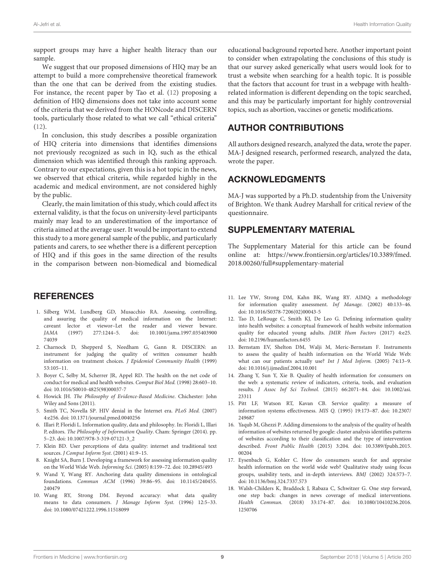support groups may have a higher health literacy than our sample.

We suggest that our proposed dimensions of HIQ may be an attempt to build a more comprehensive theoretical framework than the one that can be derived from the existing studies. For instance, the recent paper by Tao et al. [\(12\)](#page-9-11) proposing a definition of HIQ dimensions does not take into account some of the criteria that we derived from the HONcode and DISCERN tools, particularly those related to what we call "ethical criteria" [\(12\)](#page-9-11).

In conclusion, this study describes a possible organization of HIQ criteria into dimensions that identifies dimensions not previously recognized as such in IQ, such as the ethical dimension which was identified through this ranking approach. Contrary to our expectations, given this is a hot topic in the news, we observed that ethical criteria, while regarded highly in the academic and medical environment, are not considered highly by the public.

Clearly, the main limitation of this study, which could affect its external validity, is that the focus on university-level participants mainly may lead to an underestimation of the importance of criteria aimed at the average user. It would be important to extend this study to a more general sample of the public, and particularly patients and carers, to see whether there is a different perception of HIQ and if this goes in the same direction of the results in the comparison between non-biomedical and biomedical

#### **REFERENCES**

- <span id="page-9-0"></span>1. Silberg WM, Lundberg GD, Musacchio RA. Assessing, controlling, and assuring the quality of medical information on the Internet: caveant lector et viewor–Let the reader and viewer beware. JAMA [\(1997\) 277:1244–5. doi: 10.1001/jama.1997.035403900](https://doi.org/10.1001/jama.1997.03540390074039) 74039
- <span id="page-9-1"></span>2. Charnock D, Shepperd S, Needham G, Gann R. DISCERN: an instrument for judging the quality of written consumer health information on treatment choices. J Epidemiol Community Health (1999) 53:105–11.
- <span id="page-9-2"></span>3. Boyer C, Selby M, Scherrer JR, Appel RD. The health on the net code of conduct for medical and health websites. Comput Biol Med. (1998) 28:603–10. doi: [10.1016/S0010-4825\(98\)00037-7](https://doi.org/10.1016/S0010-4825(98)00037-7)
- <span id="page-9-3"></span>4. Howick JH. The Philosophy of Evidence-Based Medicine. Chichester: John Wiley and Sons (2011).
- <span id="page-9-4"></span>5. Smith TC, Novella SP. HIV denial in the Internet era. PLoS Med. (2007) 4:e256. doi: [10.1371/journal.pmed.0040256](https://doi.org/10.1371/journal.pmed.0040256)
- <span id="page-9-5"></span>6. Illari P, Floridi L. Information quality, data and philosophy. In: Floridi L, Illari P, editors. The Philosophy of Information Quality. Cham: Springer (2014). pp. 5–23. doi: [10.1007/978-3-319-07121-3\\_2](https://doi.org/10.1007/978-3-319-07121-3_2)
- <span id="page-9-6"></span>7. Klein BD. User perceptions of data quality: internet and traditional text sources. J Comput Inform Syst. (2001) 41:9–15.
- <span id="page-9-7"></span>8. Knight SA, Burn J. Developing a framework for assessing information quality on the World Wide Web. Informing Sci. (2005) 8:159–72. doi: [10.28945/493](https://doi.org/10.28945/493)
- <span id="page-9-8"></span>9. Wand Y, Wang RY. Anchoring data quality dimensions in ontological foundations. Commun ACM [\(1996\) 39:86–95. doi: 10.1145/240455.](https://doi.org/10.1145/240455.240479) 240479
- <span id="page-9-9"></span>10. Wang RY, Strong DM. Beyond accuracy: what data quality means to data consumers. J Manage Inform Syst. (1996) 12:5–33. doi: [10.1080/07421222.1996.11518099](https://doi.org/10.1080/07421222.1996.11518099)

educational background reported here. Another important point to consider when extrapolating the conclusions of this study is that our survey asked generically what users would look for to trust a website when searching for a health topic. It is possible that the factors that account for trust in a webpage with healthrelated information is different depending on the topic searched, and this may be particularly important for highly controversial topics, such as abortion, vaccines or genetic modifications.

#### AUTHOR CONTRIBUTIONS

All authors designed research, analyzed the data, wrote the paper. MA-J designed research, performed research, analyzed the data, wrote the paper.

#### ACKNOWLEDGMENTS

MA-J was supported by a Ph.D. studentship from the University of Brighton. We thank Audrey Marshall for critical review of the questionnaire.

#### SUPPLEMENTARY MATERIAL

<span id="page-9-14"></span>The Supplementary Material for this article can be found [online at: https://www.frontiersin.org/articles/10.3389/fmed.](https://www.frontiersin.org/articles/10.3389/fmed.2018.00260/full#supplementary-material) 2018.00260/full#supplementary-material

- <span id="page-9-10"></span>11. Lee YW, Strong DM, Kahn BK, Wang RY. AIMQ: a methodology for information quality assessment. Inf Manage. (2002) 40:133–46. doi: [10.1016/S0378-7206\(02\)00043-5](https://doi.org/10.1016/S0378-7206(02)00043-5)
- <span id="page-9-11"></span>12. Tao D, LeRouge C, Smith KJ, De Leo G. Defining information quality into health websites: a conceptual framework of health website information quality for educated young adults. JMIR Hum Factors (2017) 4:e25. doi: [10.2196/humanfactors.6455](https://doi.org/10.2196/humanfactors.6455)
- <span id="page-9-12"></span>13. Bernstam EV, Shelton DM, Walji M, Meric-Bernstam F. Instruments to assess the quality of health information on the World Wide Web: what can our patients actually use? Int J Med Inform. (2005) 74:13-9. doi: [10.1016/j.ijmedinf.2004.10.001](https://doi.org/10.1016/j.ijmedinf.2004.10.001)
- <span id="page-9-13"></span>14. Zhang Y, Sun Y, Xie B. Quality of health information for consumers on the web: a systematic review of indicators, criteria, tools, and evaluation results. J Assoc Inf Sci Technol. [\(2015\) 66:2071–84. doi: 10.1002/asi.](https://doi.org/10.1002/asi.23311) 23311
- <span id="page-9-15"></span>15. Pitt LF, Watson RT, Kavan CB. Service quality: a measure of [information systems effectiveness.](https://doi.org/10.2307/249687) MIS Q. (1995) 19:173–87. doi: 10.2307/ 249687
- <span id="page-9-16"></span>16. Yaqub M, Ghezzi P. Adding dimensions to the analysis of the quality of health information of websites returned by google: cluster analysis identifies patterns of websites according to their classification and the type of intervention described. Front Public Health [\(2015\) 3:204. doi: 10.3389/fpubh.2015.](https://doi.org/10.3389/fpubh.2015.00204) 00204
- <span id="page-9-17"></span>17. Eysenbach G, Kohler C. How do consumers search for and appraise health information on the world wide web? Qualitative study using focus groups, usability tests, and in-depth interviews. BMJ (2002) 324:573–7. doi: [10.1136/bmj.324.7337.573](https://doi.org/10.1136/bmj.324.7337.573)
- <span id="page-9-18"></span>18. Walsh-Childers K, Braddock J, Rabaza C, Schwitzer G. One step forward, one step back: changes in news coverage of medical interventions. Health Commun. [\(2018\) 33:174–87. doi: 10.1080/10410236.2016.](https://doi.org/10.1080/10410236.2016.1250706) 1250706